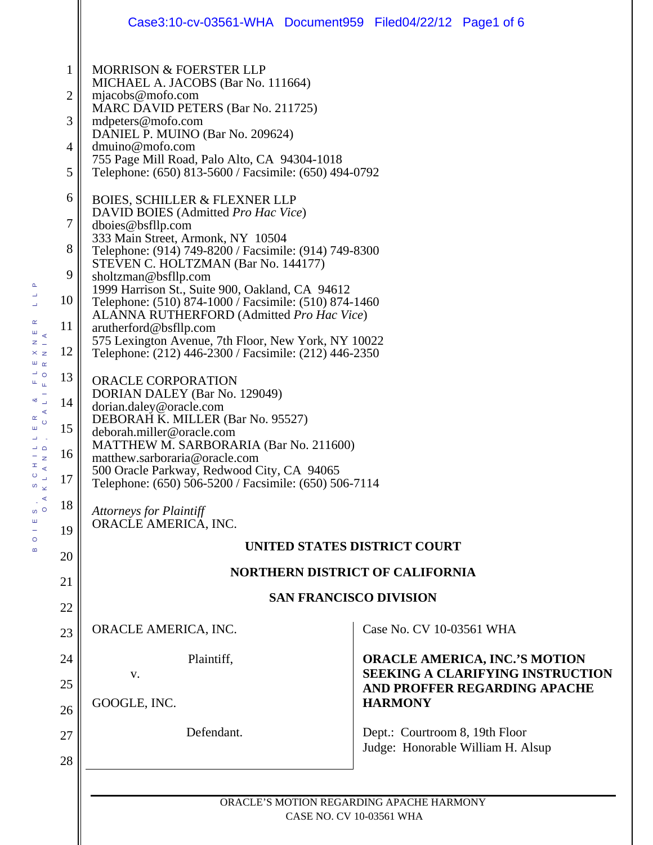|                                                                              | Case3:10-cv-03561-WHA Document959 Filed04/22/12 Page1 of 6                                                                                                                                                                                                                                                                                                                                                                                                                                                                                                                                                                                                                                                                                                                                                                                                                                                                                                                                           |
|------------------------------------------------------------------------------|------------------------------------------------------------------------------------------------------------------------------------------------------------------------------------------------------------------------------------------------------------------------------------------------------------------------------------------------------------------------------------------------------------------------------------------------------------------------------------------------------------------------------------------------------------------------------------------------------------------------------------------------------------------------------------------------------------------------------------------------------------------------------------------------------------------------------------------------------------------------------------------------------------------------------------------------------------------------------------------------------|
| $\mathbf{1}$<br>2<br>3                                                       | <b>MORRISON &amp; FOERSTER LLP</b><br>MICHAEL A. JACOBS (Bar No. 111664)<br>mjacobs@mofo.com<br>MARC DAVID PETERS (Bar No. 211725)<br>mdpeters@mofo.com<br>DANIEL P. MUINO (Bar No. 209624)                                                                                                                                                                                                                                                                                                                                                                                                                                                                                                                                                                                                                                                                                                                                                                                                          |
| 4<br>5                                                                       | dmuino@mofo.com<br>755 Page Mill Road, Palo Alto, CA 94304-1018<br>Telephone: (650) 813-5600 / Facsimile: (650) 494-0792                                                                                                                                                                                                                                                                                                                                                                                                                                                                                                                                                                                                                                                                                                                                                                                                                                                                             |
| 6<br>7<br>8<br>9<br>10<br>11<br>12<br>13<br>14<br>15<br>16<br>17<br>18<br>19 | <b>BOIES, SCHILLER &amp; FLEXNER LLP</b><br>DAVID BOIES (Admitted Pro Hac Vice)<br>dboies@bsfllp.com<br>333 Main Street, Armonk, NY 10504<br>Telephone: (914) 749-8200 / Facsimile: (914) 749-8300<br>STEVEN C. HOLTZMAN (Bar No. 144177)<br>sholtzman@bsfllp.com<br>1999 Harrison St., Suite 900, Oakland, CA 94612<br>Telephone: (510) 874-1000 / Facsimile: (510) 874-1460<br>ALANNA RUTHERFORD (Admitted Pro Hac Vice)<br>arutherford@bsfllp.com<br>575 Lexington Avenue, 7th Floor, New York, NY 10022<br>Telephone: (212) 446-2300 / Facsimile: (212) 446-2350<br>ORACLE CORPORATION<br>DORIAN DALEY (Bar No. 129049)<br>dorian.daley@oracle.com<br>DEBORAH K. MILLER (Bar No. 95527)<br>deborah.miller@oracle.com<br>MATTHEW M. SARBORARIA (Bar No. 211600)<br>matthew.sarboraria@oracle.com<br>500 Oracle Parkway, Redwood City, CA 94065<br>Telephone: (650) 506-5200 / Facsimile: (650) 506-7114<br><b>Attorneys for Plaintiff</b><br>ORACLE AMERICA, INC.<br>UNITED STATES DISTRICT COURT |
| 20                                                                           | <b>NORTHERN DISTRICT OF CALIFORNIA</b>                                                                                                                                                                                                                                                                                                                                                                                                                                                                                                                                                                                                                                                                                                                                                                                                                                                                                                                                                               |
| 21<br>22                                                                     | <b>SAN FRANCISCO DIVISION</b>                                                                                                                                                                                                                                                                                                                                                                                                                                                                                                                                                                                                                                                                                                                                                                                                                                                                                                                                                                        |
| 23                                                                           | Case No. CV 10-03561 WHA<br>ORACLE AMERICA, INC.                                                                                                                                                                                                                                                                                                                                                                                                                                                                                                                                                                                                                                                                                                                                                                                                                                                                                                                                                     |
| 24<br>25                                                                     | <b>ORACLE AMERICA, INC.'S MOTION</b><br>Plaintiff,<br><b>SEEKING A CLARIFYING INSTRUCTION</b><br>V.<br>AND PROFFER REGARDING APACHE                                                                                                                                                                                                                                                                                                                                                                                                                                                                                                                                                                                                                                                                                                                                                                                                                                                                  |
| 26<br>27                                                                     | GOOGLE, INC.<br><b>HARMONY</b><br>Defendant.<br>Dept.: Courtroom 8, 19th Floor<br>Judge: Honorable William H. Alsup                                                                                                                                                                                                                                                                                                                                                                                                                                                                                                                                                                                                                                                                                                                                                                                                                                                                                  |
| 28                                                                           | ORACLE'S MOTION REGARDING APACHE HARMONY                                                                                                                                                                                                                                                                                                                                                                                                                                                                                                                                                                                                                                                                                                                                                                                                                                                                                                                                                             |

ORACLE'S MOTION REGARDING APACHE HARMONY CASE NO. CV 10-03561 WHA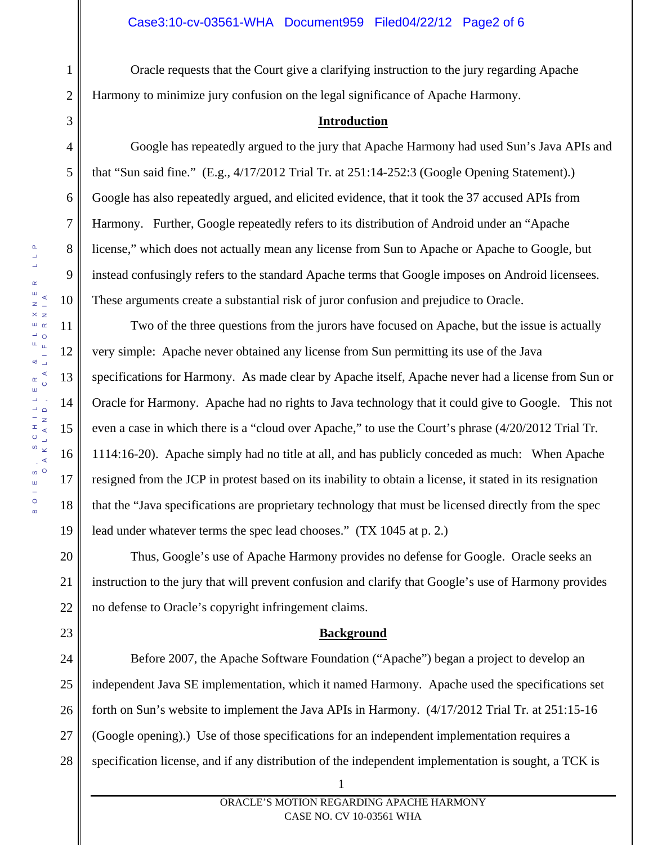Oracle requests that the Court give a clarifying instruction to the jury regarding Apache Harmony to minimize jury confusion on the legal significance of Apache Harmony.

## **Introduction**

Google has repeatedly argued to the jury that Apache Harmony had used Sun's Java APIs and that "Sun said fine." (E.g., 4/17/2012 Trial Tr. at 251:14-252:3 (Google Opening Statement).) Google has also repeatedly argued, and elicited evidence, that it took the 37 accused APIs from Harmony. Further, Google repeatedly refers to its distribution of Android under an "Apache license," which does not actually mean any license from Sun to Apache or Apache to Google, but instead confusingly refers to the standard Apache terms that Google imposes on Android licensees. These arguments create a substantial risk of juror confusion and prejudice to Oracle.

Two of the three questions from the jurors have focused on Apache, but the issue is actually very simple: Apache never obtained any license from Sun permitting its use of the Java specifications for Harmony. As made clear by Apache itself, Apache never had a license from Sun or Oracle for Harmony. Apache had no rights to Java technology that it could give to Google. This not even a case in which there is a "cloud over Apache," to use the Court's phrase (4/20/2012 Trial Tr. 1114:16-20). Apache simply had no title at all, and has publicly conceded as much: When Apache resigned from the JCP in protest based on its inability to obtain a license, it stated in its resignation that the "Java specifications are proprietary technology that must be licensed directly from the spec lead under whatever terms the spec lead chooses." (TX 1045 at p. 2.)

Thus, Google's use of Apache Harmony provides no defense for Google. Oracle seeks an instruction to the jury that will prevent confusion and clarify that Google's use of Harmony provides no defense to Oracle's copyright infringement claims.

## **Background**

24 25 26 27 28 Before 2007, the Apache Software Foundation ("Apache") began a project to develop an independent Java SE implementation, which it named Harmony. Apache used the specifications set forth on Sun's website to implement the Java APIs in Harmony. (4/17/2012 Trial Tr. at 251:15-16 (Google opening).) Use of those specifications for an independent implementation requires a specification license, and if any distribution of the independent implementation is sought, a TCK is

1

2

3

4

5

6

7

8

9

10

11

12

13

14

15

16

17

18

19

20

21

22

23

ORACLE'S MOTION REGARDING APACHE HARMONY CASE NO. CV 10-03561 WHA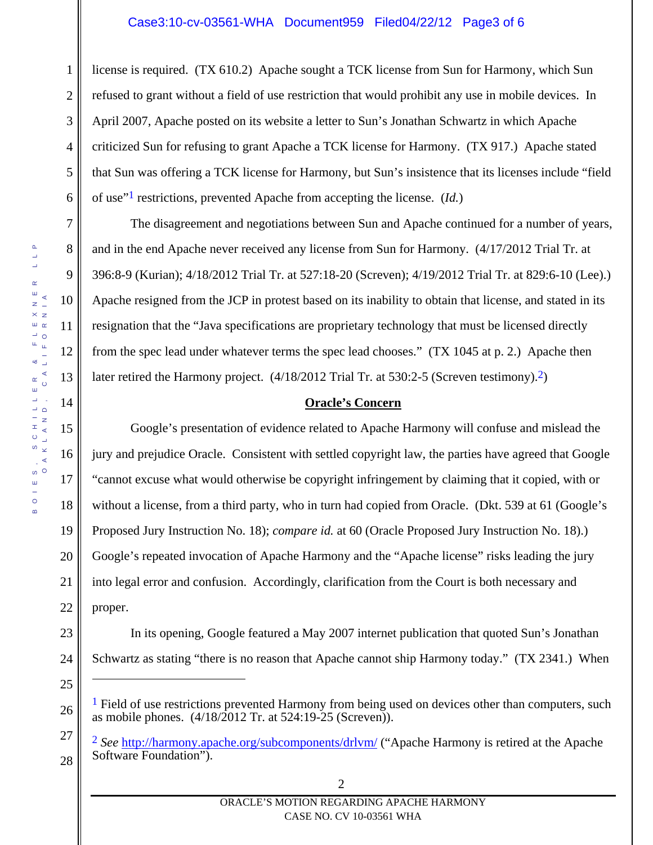# Case3:10-cv-03561-WHA Document959 Filed04/22/12 Page3 of 6

1 2 3 4 5 6 license is required. (TX 610.2) Apache sought a TCK license from Sun for Harmony, which Sun refused to grant without a field of use restriction that would prohibit any use in mobile devices. In April 2007, Apache posted on its website a letter to Sun's Jonathan Schwartz in which Apache criticized Sun for refusing to grant Apache a TCK license for Harmony. (TX 917.) Apache stated that Sun was offering a TCK license for Harmony, but Sun's insistence that its licenses include "field of use"1 restrictions, prevented Apache from accepting the license. (*Id.*)

The disagreement and negotiations between Sun and Apache continued for a number of years, and in the end Apache never received any license from Sun for Harmony. (4/17/2012 Trial Tr. at 396:8-9 (Kurian); 4/18/2012 Trial Tr. at 527:18-20 (Screven); 4/19/2012 Trial Tr. at 829:6-10 (Lee).) Apache resigned from the JCP in protest based on its inability to obtain that license, and stated in its resignation that the "Java specifications are proprietary technology that must be licensed directly from the spec lead under whatever terms the spec lead chooses." (TX 1045 at p. 2.) Apache then later retired the Harmony project. (4/18/2012 Trial Tr. at 530:2-5 (Screven testimony).<sup>2</sup>)

#### **Oracle's Concern**

Google's presentation of evidence related to Apache Harmony will confuse and mislead the jury and prejudice Oracle. Consistent with settled copyright law, the parties have agreed that Google "cannot excuse what would otherwise be copyright infringement by claiming that it copied, with or without a license, from a third party, who in turn had copied from Oracle. (Dkt. 539 at 61 (Google's Proposed Jury Instruction No. 18); *compare id.* at 60 (Oracle Proposed Jury Instruction No. 18).) Google's repeated invocation of Apache Harmony and the "Apache license" risks leading the jury into legal error and confusion. Accordingly, clarification from the Court is both necessary and proper.

- 23
- 24 25

 $\overline{a}$ 

27

28

Schwartz as stating "there is no reason that Apache cannot ship Harmony today." (TX 2341.) When

In its opening, Google featured a May 2007 internet publication that quoted Sun's Jonathan

7

8

9

10

11

12

13

14

15

16

17

18

19

20

21

22

<sup>26</sup>   $<sup>1</sup>$  Field of use restrictions prevented Harmony from being used on devices other than computers, such</sup> as mobile phones. (4/18/2012 Tr. at 524:19-25 (Screven)).

<sup>2</sup> *See* http://harmony.apache.org/subcomponents/drlvm/ ("Apache Harmony is retired at the Apache Software Foundation").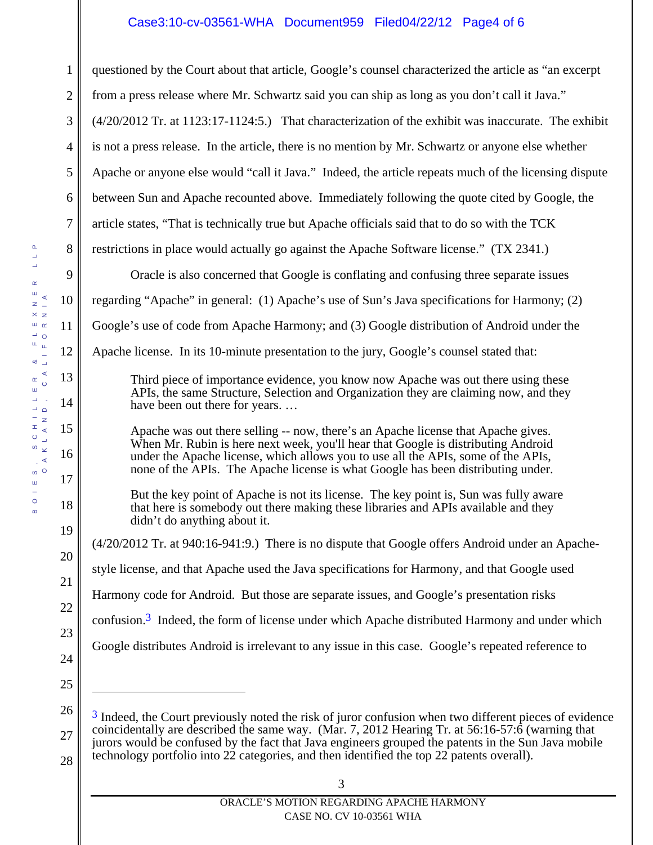# Case3:10-cv-03561-WHA Document959 Filed04/22/12 Page4 of 6

1 2 3 4 5 6 7 8 9 10 11 12 13 14 15 16 questioned by the Court about that article, Google's counsel characterized the article as "an excerpt from a press release where Mr. Schwartz said you can ship as long as you don't call it Java." (4/20/2012 Tr. at 1123:17-1124:5.) That characterization of the exhibit was inaccurate. The exhibit is not a press release. In the article, there is no mention by Mr. Schwartz or anyone else whether Apache or anyone else would "call it Java." Indeed, the article repeats much of the licensing dispute between Sun and Apache recounted above. Immediately following the quote cited by Google, the article states, "That is technically true but Apache officials said that to do so with the TCK restrictions in place would actually go against the Apache Software license." (TX 2341.) Oracle is also concerned that Google is conflating and confusing three separate issues regarding "Apache" in general: (1) Apache's use of Sun's Java specifications for Harmony; (2) Google's use of code from Apache Harmony; and (3) Google distribution of Android under the Apache license. In its 10-minute presentation to the jury, Google's counsel stated that: Third piece of importance evidence, you know now Apache was out there using these APIs, the same Structure, Selection and Organization they are claiming now, and they have been out there for years. … Apache was out there selling -- now, there's an Apache license that Apache gives. When Mr. Rubin is here next week, you'll hear that Google is distributing Android under the Apache license, which allows you to use all the APIs, some of the APIs,

none of the APIs. The Apache license is what Google has been distributing under.

But the key point of Apache is not its license. The key point is, Sun was fully aware that here is somebody out there making these libraries and APIs available and they didn't do anything about it.

(4/20/2012 Tr. at 940:16-941:9.) There is no dispute that Google offers Android under an Apachestyle license, and that Apache used the Java specifications for Harmony, and that Google used

Harmony code for Android. But those are separate issues, and Google's presentation risks

confusion.3 Indeed, the form of license under which Apache distributed Harmony and under which

Google distributes Android is irrelevant to any issue in this case. Google's repeated reference to

25

 $\overline{a}$ 

17

18

19

20

21

22

23

<sup>26</sup>  27 <sup>3</sup> Indeed, the Court previously noted the risk of juror confusion when two different pieces of evidence coincidentally are described the same way. (Mar. 7, 2012 Hearing Tr. at 56:16-57:6 (warning that jurors would be confused by the fact that Java engineers grouped the patents in the Sun Java mobile technology portfolio into 22 categories, and then identified the top 22 patents overall).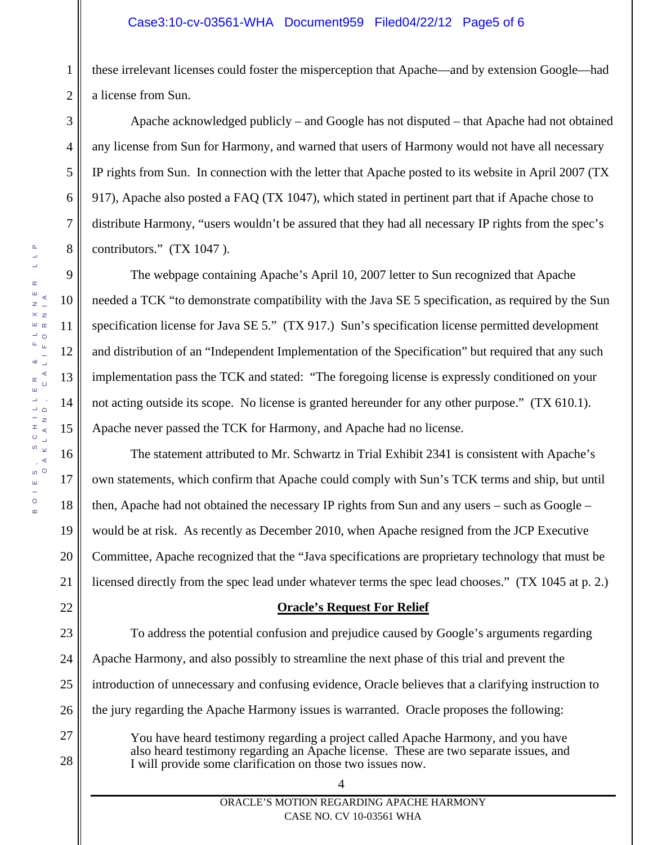these irrelevant licenses could foster the misperception that Apache—and by extension Google—had a license from Sun.

Apache acknowledged publicly – and Google has not disputed – that Apache had not obtained any license from Sun for Harmony, and warned that users of Harmony would not have all necessary IP rights from Sun. In connection with the letter that Apache posted to its website in April 2007 (TX 917), Apache also posted a FAQ (TX 1047), which stated in pertinent part that if Apache chose to distribute Harmony, "users wouldn't be assured that they had all necessary IP rights from the spec's contributors." (TX 1047 ).

The webpage containing Apache's April 10, 2007 letter to Sun recognized that Apache needed a TCK "to demonstrate compatibility with the Java SE 5 specification, as required by the Sun specification license for Java SE 5." (TX 917.) Sun's specification license permitted development and distribution of an "Independent Implementation of the Specification" but required that any such implementation pass the TCK and stated: "The foregoing license is expressly conditioned on your not acting outside its scope. No license is granted hereunder for any other purpose." (TX 610.1). Apache never passed the TCK for Harmony, and Apache had no license.

The statement attributed to Mr. Schwartz in Trial Exhibit 2341 is consistent with Apache's own statements, which confirm that Apache could comply with Sun's TCK terms and ship, but until then, Apache had not obtained the necessary IP rights from Sun and any users – such as Google – would be at risk. As recently as December 2010, when Apache resigned from the JCP Executive Committee, Apache recognized that the "Java specifications are proprietary technology that must be licensed directly from the spec lead under whatever terms the spec lead chooses." (TX 1045 at p. 2.)

# **Oracle's Request For Relief**

23 24 25 26 To address the potential confusion and prejudice caused by Google's arguments regarding Apache Harmony, and also possibly to streamline the next phase of this trial and prevent the introduction of unnecessary and confusing evidence, Oracle believes that a clarifying instruction to the jury regarding the Apache Harmony issues is warranted. Oracle proposes the following:

> You have heard testimony regarding a project called Apache Harmony, and you have also heard testimony regarding an Apache license. These are two separate issues, and I will provide some clarification on those two issues now.

4

1

2

3

4

5

6

7

8

9

10

11

12

13

14

15

16

17

18

19

20

21

22

27